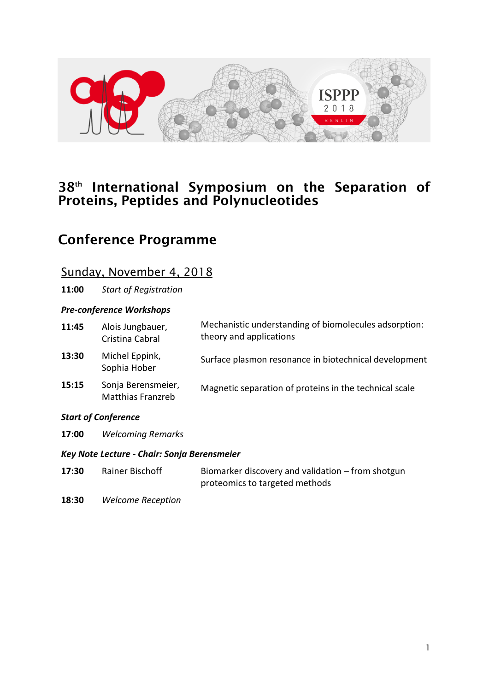

## 38<sup>th</sup> International Symposium on the Separation of Proteins, Peptides and Polynucleotides

## Conference Programme

### Sunday, November 4, 2018

**11:00** *Start of Registration*

#### *Pre-conference Workshops*

| 11:45 | Alois Jungbauer,<br>Cristina Cabral            | Mechanistic understanding of biomolecules adsorption:<br>theory and applications |
|-------|------------------------------------------------|----------------------------------------------------------------------------------|
| 13:30 | Michel Eppink,<br>Sophia Hober                 | Surface plasmon resonance in biotechnical development                            |
| 15:15 | Sonja Berensmeier,<br><b>Matthias Franzreb</b> | Magnetic separation of proteins in the technical scale                           |

#### *Start of Conference*

**17:00** *Welcoming Remarks*

#### *Key Note Lecture - Chair: Sonja Berensmeier*

- **17:30** Rainer Bischoff Biomarker discovery and validation from shotgun proteomics to targeted methods
- **18:30** *Welcome Reception*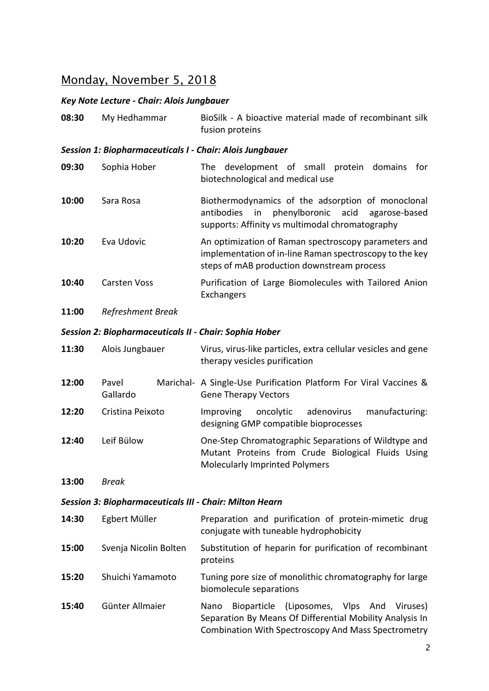# Monday, November 5, 2018

### *Key Note Lecture - Chair: Alois Jungbauer*

| 08:30                                                         | My Hedhammar                                                    | BioSilk - A bioactive material made of recombinant silk<br>fusion proteins                                                                                                            |
|---------------------------------------------------------------|-----------------------------------------------------------------|---------------------------------------------------------------------------------------------------------------------------------------------------------------------------------------|
|                                                               | <b>Session 1: Biopharmaceuticals I - Chair: Alois Jungbauer</b> |                                                                                                                                                                                       |
| 09:30                                                         | Sophia Hober                                                    | The development of small protein domains<br>for<br>biotechnological and medical use                                                                                                   |
| 10:00                                                         | Sara Rosa                                                       | Biothermodynamics of the adsorption of monoclonal<br>in<br>phenylboronic<br>acid<br>antibodies<br>agarose-based<br>supports: Affinity vs multimodal chromatography                    |
| 10:20                                                         | Eva Udovic                                                      | An optimization of Raman spectroscopy parameters and<br>implementation of in-line Raman spectroscopy to the key<br>steps of mAB production downstream process                         |
| 10:40                                                         | <b>Carsten Voss</b>                                             | Purification of Large Biomolecules with Tailored Anion<br>Exchangers                                                                                                                  |
| 11:00                                                         | Refreshment Break                                               |                                                                                                                                                                                       |
| <b>Session 2: Biopharmaceuticals II - Chair: Sophia Hober</b> |                                                                 |                                                                                                                                                                                       |
| 11:30                                                         | Alois Jungbauer                                                 | Virus, virus-like particles, extra cellular vesicles and gene<br>therapy vesicles purification                                                                                        |
| 12:00                                                         | Pavel<br>Gallardo                                               | Marichal- A Single-Use Purification Platform For Viral Vaccines &<br><b>Gene Therapy Vectors</b>                                                                                      |
| 12:20                                                         | Cristina Peixoto                                                | adenovirus<br>manufacturing:<br>oncolytic<br><b>Improving</b><br>designing GMP compatible bioprocesses                                                                                |
| 12:40                                                         | Leif Bülow                                                      | One-Step Chromatographic Separations of Wildtype and<br>Mutant Proteins from Crude Biological Fluids Using<br><b>Molecularly Imprinted Polymers</b>                                   |
| 13:00                                                         | <b>Break</b>                                                    |                                                                                                                                                                                       |
|                                                               | <b>Session 3: Biopharmaceuticals III - Chair: Milton Hearn</b>  |                                                                                                                                                                                       |
| 14:30                                                         | Egbert Müller                                                   | Preparation and purification of protein-mimetic drug<br>conjugate with tuneable hydrophobicity                                                                                        |
| 15:00                                                         | Svenja Nicolin Bolten                                           | Substitution of heparin for purification of recombinant<br>proteins                                                                                                                   |
| 15:20                                                         | Shuichi Yamamoto                                                | Tuning pore size of monolithic chromatography for large<br>biomolecule separations                                                                                                    |
| 15:40                                                         | Günter Allmaier                                                 | (Liposomes, Vlps)<br>Nano<br><b>Bioparticle</b><br>And<br>Viruses)<br>Separation By Means Of Differential Mobility Analysis In<br>Combination With Spectroscopy And Mass Spectrometry |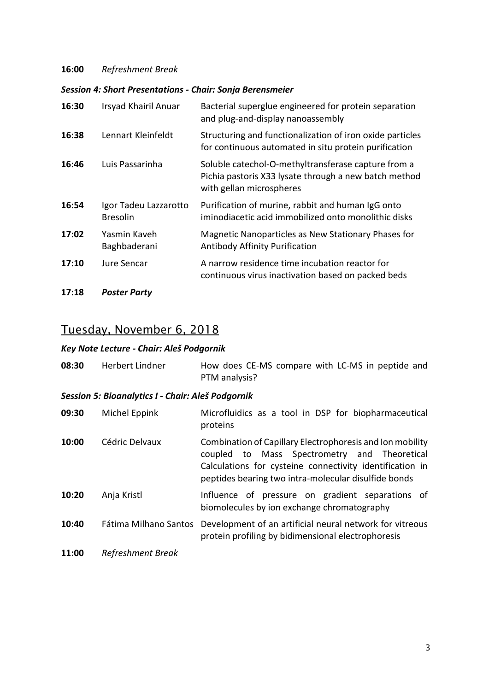#### **16:00** *Refreshment Break*

#### *Session 4: Short Presentations - Chair: Sonja Berensmeier*

| 16:30 | Irsyad Khairil Anuar                     | Bacterial superglue engineered for protein separation<br>and plug-and-display nanoassembly                                               |
|-------|------------------------------------------|------------------------------------------------------------------------------------------------------------------------------------------|
| 16:38 | Lennart Kleinfeldt                       | Structuring and functionalization of iron oxide particles<br>for continuous automated in situ protein purification                       |
| 16:46 | Luis Passarinha                          | Soluble catechol-O-methyltransferase capture from a<br>Pichia pastoris X33 lysate through a new batch method<br>with gellan microspheres |
| 16:54 | Igor Tadeu Lazzarotto<br><b>Bresolin</b> | Purification of murine, rabbit and human IgG onto<br>iminodiacetic acid immobilized onto monolithic disks                                |
| 17:02 | Yasmin Kaveh<br>Baghbaderani             | Magnetic Nanoparticles as New Stationary Phases for<br><b>Antibody Affinity Purification</b>                                             |
| 17:10 | Jure Sencar                              | A narrow residence time incubation reactor for<br>continuous virus inactivation based on packed beds                                     |
| 17:18 | <b>Poster Party</b>                      |                                                                                                                                          |

## Tuesday, November 6, 2018

### *Key Note Lecture - Chair: Aleš Podgornik*

| 08:30 | Herbert Lindner                                   | How does CE-MS compare with LC-MS in peptide and<br>PTM analysis?                                                                                                                                                             |
|-------|---------------------------------------------------|-------------------------------------------------------------------------------------------------------------------------------------------------------------------------------------------------------------------------------|
|       | Session 5: Bioanalytics I - Chair: Aleš Podgornik |                                                                                                                                                                                                                               |
| 09:30 | Michel Eppink                                     | Microfluidics as a tool in DSP for biopharmaceutical<br>proteins                                                                                                                                                              |
| 10:00 | Cédric Delvaux                                    | Combination of Capillary Electrophoresis and Ion mobility<br>coupled to Mass Spectrometry and Theoretical<br>Calculations for cysteine connectivity identification in<br>peptides bearing two intra-molecular disulfide bonds |
| 10:20 | Anja Kristl                                       | Influence of pressure on gradient separations of<br>biomolecules by ion exchange chromatography                                                                                                                               |
| 10:40 | Fátima Milhano Santos                             | Development of an artificial neural network for vitreous<br>protein profiling by bidimensional electrophoresis                                                                                                                |
| 11:00 | Refreshment Break                                 |                                                                                                                                                                                                                               |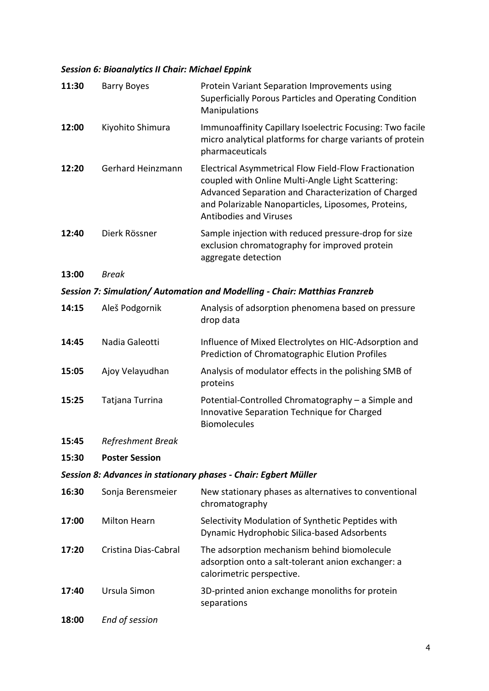#### *Session 6: Bioanalytics II Chair: Michael Eppink*

| 11:30 | <b>Barry Boyes</b>    | Protein Variant Separation Improvements using<br>Superficially Porous Particles and Operating Condition<br>Manipulations                                                                                                                                  |
|-------|-----------------------|-----------------------------------------------------------------------------------------------------------------------------------------------------------------------------------------------------------------------------------------------------------|
| 12:00 | Kiyohito Shimura      | Immunoaffinity Capillary Isoelectric Focusing: Two facile<br>micro analytical platforms for charge variants of protein<br>pharmaceuticals                                                                                                                 |
| 12:20 | Gerhard Heinzmann     | Electrical Asymmetrical Flow Field-Flow Fractionation<br>coupled with Online Multi-Angle Light Scattering:<br>Advanced Separation and Characterization of Charged<br>and Polarizable Nanoparticles, Liposomes, Proteins,<br><b>Antibodies and Viruses</b> |
| 12:40 | Dierk Rössner         | Sample injection with reduced pressure-drop for size<br>exclusion chromatography for improved protein<br>aggregate detection                                                                                                                              |
| 13:00 | <b>Break</b>          |                                                                                                                                                                                                                                                           |
|       |                       | Session 7: Simulation/ Automation and Modelling - Chair: Matthias Franzreb                                                                                                                                                                                |
| 14:15 | Aleš Podgornik        | Analysis of adsorption phenomena based on pressure<br>drop data                                                                                                                                                                                           |
| 14:45 | Nadia Galeotti        | Influence of Mixed Electrolytes on HIC-Adsorption and<br>Prediction of Chromatographic Elution Profiles                                                                                                                                                   |
| 15:05 | Ajoy Velayudhan       | Analysis of modulator effects in the polishing SMB of<br>proteins                                                                                                                                                                                         |
| 15:25 | Tatjana Turrina       | Potential-Controlled Chromatography - a Simple and<br>Innovative Separation Technique for Charged<br><b>Biomolecules</b>                                                                                                                                  |
| 15:45 | Refreshment Break     |                                                                                                                                                                                                                                                           |
| 15:30 | <b>Poster Session</b> |                                                                                                                                                                                                                                                           |
|       |                       | Session 8: Advances in stationary phases - Chair: Egbert Müller                                                                                                                                                                                           |
| 16:30 | Sonja Berensmeier     | New stationary phases as alternatives to conventional<br>chromatography                                                                                                                                                                                   |
| 17:00 | <b>Milton Hearn</b>   | Selectivity Modulation of Synthetic Peptides with<br>Dynamic Hydrophobic Silica-based Adsorbents                                                                                                                                                          |
| 17:20 | Cristina Dias-Cabral  | The adsorption mechanism behind biomolecule<br>adsorption onto a salt-tolerant anion exchanger: a<br>calorimetric perspective.                                                                                                                            |
| 17:40 | Ursula Simon          | 3D-printed anion exchange monoliths for protein<br>separations                                                                                                                                                                                            |
| 18:00 | End of session        |                                                                                                                                                                                                                                                           |